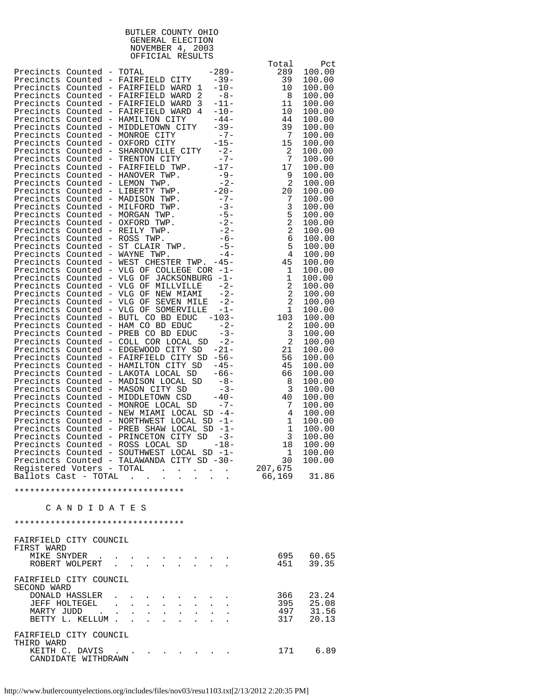| BUTLER COUNTY OHIO |  |
|--------------------|--|
| GENERAL ELECTION   |  |
| NOVEMBER 4, 2003   |  |
| OFFICIAL RESULTS   |  |
|                    |  |

|                           |                |                                                                                                                                                                                                                                               | Total                                    | Pct              |
|---------------------------|----------------|-----------------------------------------------------------------------------------------------------------------------------------------------------------------------------------------------------------------------------------------------|------------------------------------------|------------------|
| Precincts Counted - TOTAL |                | $-289-$<br>Precincts Counted - FAIRFIELD CITY -39-                                                                                                                                                                                            | 289<br>39                                | 100.00           |
|                           |                | $-10-$<br>Precincts Counted - FAIRFIELD WARD 1                                                                                                                                                                                                | 10                                       | 100.00<br>100.00 |
|                           |                | Precincts Counted - FAIRFIELD WARD 2<br>$-8-$                                                                                                                                                                                                 | $_{\rm 8}$                               | 100.00           |
|                           |                | $-11-$<br>Precincts Counted - FAIRFIELD WARD 3                                                                                                                                                                                                | 11                                       | 100.00           |
|                           |                | $-10-$<br>Precincts Counted - FAIRFIELD WARD 4                                                                                                                                                                                                | 10                                       | 100.00           |
|                           |                | $-44-$<br>Precincts Counted - HAMILTON CITY                                                                                                                                                                                                   | 44                                       | 100.00           |
|                           |                | Precincts Counted - MIDDLETOWN CITY -39-                                                                                                                                                                                                      | 39                                       | 100.00           |
|                           |                |                                                                                                                                                                                                                                               | $\overline{7}$<br>15                     | 100.00           |
|                           |                |                                                                                                                                                                                                                                               | 2                                        | 100.00<br>100.00 |
|                           |                | Precincts Counted - MONROE CITY -7-<br>Precincts Counted - OXFORD CITY -15-<br>Precincts Counted - SHARONVILLE CITY -2-<br>Precincts Counted - TRENTON CITY -7-                                                                               | $\overline{7}$                           | 100.00           |
|                           |                | Precincts Counted - TRENTON CITY -7-<br>Precincts Counted - FAIRFIELD TWP. -17-<br>Precincts Counted - HANOVER TWP. -9-<br>Precincts Counted - LEMON TWP. -20-<br>Precincts Counted - MADISON TWP. -20-<br>Precincts Counted - MADISON TWP. - | 17                                       | 100.00           |
|                           |                |                                                                                                                                                                                                                                               | 9                                        | 100.00           |
|                           |                |                                                                                                                                                                                                                                               | $\overline{c}$                           | 100.00           |
|                           |                |                                                                                                                                                                                                                                               | 20                                       | 100.00           |
|                           |                |                                                                                                                                                                                                                                               | 7                                        | 100.00           |
|                           |                |                                                                                                                                                                                                                                               | $\mathbf{3}$                             | 100.00<br>100.00 |
|                           |                |                                                                                                                                                                                                                                               | $\frac{5}{2}$                            | 100.00           |
|                           |                |                                                                                                                                                                                                                                               |                                          | 100.00           |
|                           |                |                                                                                                                                                                                                                                               | 6                                        | 100.00           |
|                           |                |                                                                                                                                                                                                                                               | $\overline{5}$                           | 100.00           |
|                           |                |                                                                                                                                                                                                                                               |                                          | 100.00           |
|                           |                | Precincts Counted - WEST CHESTER TWP. -45-                                                                                                                                                                                                    |                                          | 100.00           |
|                           |                | Precincts Counted - VLG OF COLLEGE COR -1-                                                                                                                                                                                                    | $\begin{array}{c}\n45 \\ 1\n\end{array}$ | 100.00           |
|                           |                | Precincts Counted - VLG OF JACKSONBURG -1-<br>$-2-$<br>Precincts Counted - VLG OF MILLVILLE                                                                                                                                                   | $\mathbf 1$<br>$\boldsymbol{2}$          | 100.00<br>100.00 |
|                           |                | Precincts Counted - VLG OF NEW MIAMI -2-                                                                                                                                                                                                      | $\sqrt{2}$                               | 100.00           |
|                           |                | Precincts Counted - VLG OF SEVEN MILE<br>$-2-$                                                                                                                                                                                                | $\sqrt{2}$                               | 100.00           |
|                           |                | Precincts Counted - VLG OF SOMERVILLE  -1-                                                                                                                                                                                                    | $\mathbf 1$                              | 100.00           |
|                           |                | Precincts Counted - BUTL CO BD EDUC -103-                                                                                                                                                                                                     | 103                                      | 100.00           |
|                           |                |                                                                                                                                                                                                                                               | $\sqrt{2}$                               | 100.00           |
|                           |                |                                                                                                                                                                                                                                               | $\mathbf{3}$                             | 100.00           |
|                           |                | Precincts Counted - COLL COR LOCAL SD -2-                                                                                                                                                                                                     | 2                                        | 100.00           |
|                           |                | Precincts Counted - EDGEWOOD CITY SD -21-<br>Precincts Counted - FAIRFIELD CITY SD -56-                                                                                                                                                       | 21<br>56                                 | 100.00<br>100.00 |
|                           |                | Precincts Counted - HAMILTON CITY SD -45-                                                                                                                                                                                                     | 45                                       | 100.00           |
|                           |                | Precincts Counted - LAKOTA LOCAL SD -66-                                                                                                                                                                                                      | 66                                       | 100.00           |
|                           |                |                                                                                                                                                                                                                                               | 8                                        | 100.00           |
|                           |                | Precincts Counted - MADISON LOCAL SD -8-<br>Precincts Counted - MASON CITY SD -3-<br>Precincts Counted - MIDDLETOWN CSD -40-                                                                                                                  | $\overline{3}$                           | 100.00           |
|                           |                |                                                                                                                                                                                                                                               | 40                                       | 100.00           |
|                           |                | Precincts Counted - MONROE LOCAL SD -7-                                                                                                                                                                                                       | 7                                        | 100.00           |
|                           |                | Precincts Counted - NEW MIAMI LOCAL SD -4-<br>Precincts Counted - NORTHWEST LOCAL<br>$SD -1 -$                                                                                                                                                | 4<br>$\mathbf 1$                         | 100.00<br>100.00 |
|                           |                | Precincts Counted - PREB SHAW LOCAL SD -1-                                                                                                                                                                                                    | $\mathbf{1}$                             | 100.00           |
|                           |                | Precincts Counted - PRINCETON CITY SD -3-                                                                                                                                                                                                     | 3                                        | 100.00           |
|                           |                | Precincts Counted - ROSS LOCAL SD<br>$-18-$                                                                                                                                                                                                   | 18                                       | 100.00           |
|                           |                | Precincts Counted - SOUTHWEST LOCAL SD -1-                                                                                                                                                                                                    | 1                                        | 100.00           |
|                           |                | Precincts Counted - TALAWANDA CITY SD -30-                                                                                                                                                                                                    | 30                                       | 100.00           |
| Registered Voters - TOTAL |                | $\sim$ 100 $\sim$<br><b>Contract Contract Contract</b>                                                                                                                                                                                        | 207,675                                  |                  |
| Ballots Cast – TOTAL      |                | $\mathbf{r}$ . The set of $\mathbf{r}$<br>$\sim$                                                                                                                                                                                              | 66,169                                   | 31.86            |
|                           |                | *********************************                                                                                                                                                                                                             |                                          |                  |
|                           | CANDIDATES     |                                                                                                                                                                                                                                               |                                          |                  |
|                           |                |                                                                                                                                                                                                                                               |                                          |                  |
|                           |                | *********************************                                                                                                                                                                                                             |                                          |                  |
| FAIRFIELD CITY COUNCIL    |                |                                                                                                                                                                                                                                               |                                          |                  |
| FIRST WARD                |                |                                                                                                                                                                                                                                               |                                          |                  |
| MIKE SNYDER               |                |                                                                                                                                                                                                                                               |                                          | 695 60.65        |
|                           | ROBERT WOLPERT | $\sim$<br>$\sim$ $\sim$                                                                                                                                                                                                                       | 451                                      | 39.35            |
| FAIRFIELD CITY COUNCIL    |                |                                                                                                                                                                                                                                               |                                          |                  |
| SECOND WARD               |                |                                                                                                                                                                                                                                               |                                          |                  |
|                           | DONALD HASSLER |                                                                                                                                                                                                                                               | 366                                      | 23.24            |
|                           | JEFF HOLTEGEL  | $\mathbf{L}$ and $\mathbf{L}$<br>$\sim$                                                                                                                                                                                                       | 395                                      | 25.08            |
|                           |                | MARTY JUDD<br>BETTY L. KELLUM                                                                                                                                                                                                                 | 497<br>317                               | 31.56<br>20.13   |
|                           |                |                                                                                                                                                                                                                                               |                                          |                  |
| FAIRFIELD CITY COUNCIL    |                |                                                                                                                                                                                                                                               |                                          |                  |
| THIRD WARD                |                |                                                                                                                                                                                                                                               |                                          |                  |
|                           | KEITH C. DAVIS | $\mathbf{a} = \mathbf{a} + \mathbf{a} + \mathbf{a} + \mathbf{a} + \mathbf{a} + \mathbf{a} + \mathbf{a} + \mathbf{a} + \mathbf{a} + \mathbf{a}$                                                                                                | 171                                      | 6.89             |

CANDIDATE WITHDRAWN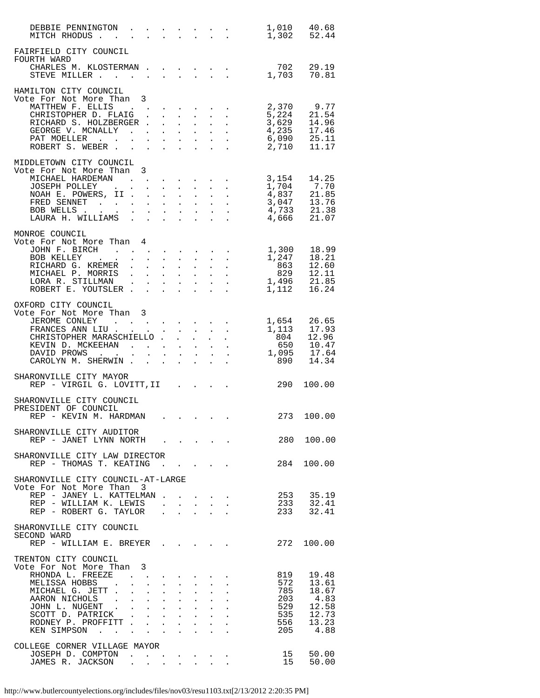| DEBBIE PENNINGTON 1,010 40.68<br>MITCH RHODUS 1,302 52.44          |   |  |                      |                                                             |  |                                                                                                                                                                                                                                                                                                                                                             |                     |                |
|--------------------------------------------------------------------|---|--|----------------------|-------------------------------------------------------------|--|-------------------------------------------------------------------------------------------------------------------------------------------------------------------------------------------------------------------------------------------------------------------------------------------------------------------------------------------------------------|---------------------|----------------|
| FAIRFIELD CITY COUNCIL<br>FOURTH WARD<br>CHARLES M. KLOSTERMAN 702 |   |  |                      |                                                             |  |                                                                                                                                                                                                                                                                                                                                                             |                     | 29.19          |
| STEVE MILLER 1,703                                                 |   |  |                      |                                                             |  |                                                                                                                                                                                                                                                                                                                                                             |                     | 70.81          |
| HAMILTON CITY COUNCIL<br>Vote For Not More Than 3                  |   |  |                      |                                                             |  |                                                                                                                                                                                                                                                                                                                                                             | 2,370               | 9.77           |
| MATTHEW F. ELLIS<br>CHRISTOPHER D. FLAIG                           |   |  |                      |                                                             |  |                                                                                                                                                                                                                                                                                                                                                             | $\frac{5}{2}$ , 224 | 21.54          |
| RICHARD S. HOLZBERGER                                              |   |  |                      |                                                             |  |                                                                                                                                                                                                                                                                                                                                                             | 3,629<br>4,235      | 14.96<br>17.46 |
|                                                                    |   |  |                      |                                                             |  |                                                                                                                                                                                                                                                                                                                                                             | 6,090<br>2,710      | 25.11          |
|                                                                    |   |  |                      |                                                             |  |                                                                                                                                                                                                                                                                                                                                                             |                     | 11.17          |
| MIDDLETOWN CITY COUNCIL<br>Vote For Not More Than 3                |   |  |                      |                                                             |  |                                                                                                                                                                                                                                                                                                                                                             |                     | 14.25          |
| MICHAEL HARDEMAN 3,154                                             |   |  |                      |                                                             |  |                                                                                                                                                                                                                                                                                                                                                             |                     |                |
|                                                                    |   |  |                      |                                                             |  |                                                                                                                                                                                                                                                                                                                                                             |                     |                |
|                                                                    |   |  |                      |                                                             |  |                                                                                                                                                                                                                                                                                                                                                             |                     |                |
|                                                                    |   |  |                      |                                                             |  |                                                                                                                                                                                                                                                                                                                                                             |                     |                |
|                                                                    |   |  |                      |                                                             |  |                                                                                                                                                                                                                                                                                                                                                             |                     |                |
| MONROE COUNCIL<br>Vote For Not More Than 4                         |   |  |                      |                                                             |  |                                                                                                                                                                                                                                                                                                                                                             |                     |                |
|                                                                    |   |  |                      |                                                             |  |                                                                                                                                                                                                                                                                                                                                                             |                     | 18.99          |
|                                                                    |   |  |                      |                                                             |  |                                                                                                                                                                                                                                                                                                                                                             |                     | 18.21          |
|                                                                    |   |  |                      |                                                             |  |                                                                                                                                                                                                                                                                                                                                                             |                     | 12.60<br>12.11 |
|                                                                    |   |  |                      |                                                             |  |                                                                                                                                                                                                                                                                                                                                                             |                     | 21.85          |
|                                                                    |   |  |                      |                                                             |  |                                                                                                                                                                                                                                                                                                                                                             |                     | 16.24          |
| OXFORD CITY COUNCIL                                                |   |  |                      |                                                             |  |                                                                                                                                                                                                                                                                                                                                                             |                     |                |
| Vote For Not More Than 3<br>JEROME CONLEY                          |   |  |                      |                                                             |  |                                                                                                                                                                                                                                                                                                                                                             |                     |                |
|                                                                    |   |  |                      |                                                             |  |                                                                                                                                                                                                                                                                                                                                                             |                     | 1,654 26.65    |
|                                                                    |   |  |                      |                                                             |  |                                                                                                                                                                                                                                                                                                                                                             |                     |                |
|                                                                    |   |  |                      |                                                             |  |                                                                                                                                                                                                                                                                                                                                                             |                     |                |
|                                                                    |   |  |                      |                                                             |  |                                                                                                                                                                                                                                                                                                                                                             |                     |                |
|                                                                    |   |  |                      |                                                             |  |                                                                                                                                                                                                                                                                                                                                                             |                     |                |
| SHARONVILLE CITY MAYOR<br>REP - VIRGIL G. LOVITT, II 290           |   |  |                      |                                                             |  |                                                                                                                                                                                                                                                                                                                                                             |                     | 100.00         |
| SHARONVILLE CITY COUNCIL                                           |   |  |                      |                                                             |  |                                                                                                                                                                                                                                                                                                                                                             |                     |                |
| PRESIDENT OF COUNCIL<br>REP - KEVIN M. HARDMAN                     |   |  |                      |                                                             |  |                                                                                                                                                                                                                                                                                                                                                             |                     | 273 100.00     |
| SHARONVILLE CITY AUDITOR                                           |   |  |                      |                                                             |  |                                                                                                                                                                                                                                                                                                                                                             |                     |                |
| REP - JANET LYNN NORTH                                             |   |  |                      |                                                             |  |                                                                                                                                                                                                                                                                                                                                                             | 280                 | 100.00         |
| SHARONVILLE CITY LAW DIRECTOR<br>REP - THOMAS T. KEATING           |   |  |                      |                                                             |  |                                                                                                                                                                                                                                                                                                                                                             | 284                 | 100.00         |
|                                                                    |   |  |                      |                                                             |  |                                                                                                                                                                                                                                                                                                                                                             |                     |                |
| SHARONVILLE CITY COUNCIL-AT-LARGE                                  |   |  |                      |                                                             |  |                                                                                                                                                                                                                                                                                                                                                             |                     |                |
| Vote For Not More Than 3<br>REP - JANEY L. KATTELMAN               |   |  |                      |                                                             |  |                                                                                                                                                                                                                                                                                                                                                             |                     | 253 35.19      |
| REP - WILLIAM K. LEWIS                                             |   |  |                      |                                                             |  | $\label{eq:2.1} \begin{split} \mathcal{L}_{\text{max}}(\mathbf{X},\mathbf{X}) & = \mathcal{L}_{\text{max}}(\mathbf{X},\mathbf{X}) + \mathcal{L}_{\text{max}}(\mathbf{X},\mathbf{X}) \\ & = \mathcal{L}_{\text{max}}(\mathbf{X},\mathbf{X}) + \mathcal{L}_{\text{max}}(\mathbf{X},\mathbf{X}) + \mathcal{L}_{\text{max}}(\mathbf{X},\mathbf{X}) \end{split}$ | 233<br>233          | 32.41          |
| REP - ROBERT G. TAYLOR                                             |   |  |                      |                                                             |  |                                                                                                                                                                                                                                                                                                                                                             |                     | 32.41          |
| SHARONVILLE CITY COUNCIL                                           |   |  |                      |                                                             |  |                                                                                                                                                                                                                                                                                                                                                             |                     |                |
| SECOND WARD                                                        |   |  |                      |                                                             |  |                                                                                                                                                                                                                                                                                                                                                             |                     |                |
| REP - WILLIAM E. BREYER                                            |   |  |                      |                                                             |  |                                                                                                                                                                                                                                                                                                                                                             |                     | 272 100.00     |
| TRENTON CITY COUNCIL<br>Vote For Not More Than                     | 3 |  |                      |                                                             |  |                                                                                                                                                                                                                                                                                                                                                             |                     |                |
| RHONDA L. FREEZE                                                   |   |  |                      |                                                             |  |                                                                                                                                                                                                                                                                                                                                                             | 819                 | 19.48          |
| MELISSA HOBBS<br>MICHAEL G. JETT                                   |   |  |                      |                                                             |  |                                                                                                                                                                                                                                                                                                                                                             | 572<br>785          | 13.61<br>18.67 |
|                                                                    |   |  |                      |                                                             |  |                                                                                                                                                                                                                                                                                                                                                             | 203                 | 4.83           |
|                                                                    |   |  |                      |                                                             |  |                                                                                                                                                                                                                                                                                                                                                             | 529                 | 12.58          |
|                                                                    |   |  |                      |                                                             |  |                                                                                                                                                                                                                                                                                                                                                             | 535<br>535<br>556   | 12.73<br>13.23 |
| KEN SIMPSON                                                        |   |  | $\ddot{\phantom{a}}$ | $\ddot{\phantom{0}}$                                        |  |                                                                                                                                                                                                                                                                                                                                                             | 205                 | 4.88           |
|                                                                    |   |  |                      |                                                             |  |                                                                                                                                                                                                                                                                                                                                                             |                     |                |
| COLLEGE CORNER VILLAGE MAYOR<br>JOSEPH D. COMPTON                  |   |  |                      |                                                             |  |                                                                                                                                                                                                                                                                                                                                                             | 15                  | 50.00          |
| JAMES R. JACKSON                                                   |   |  | $\sim 100$           | $\bullet$ .<br><br><br><br><br><br><br><br><br><br><br><br> |  |                                                                                                                                                                                                                                                                                                                                                             | 15                  | 50.00          |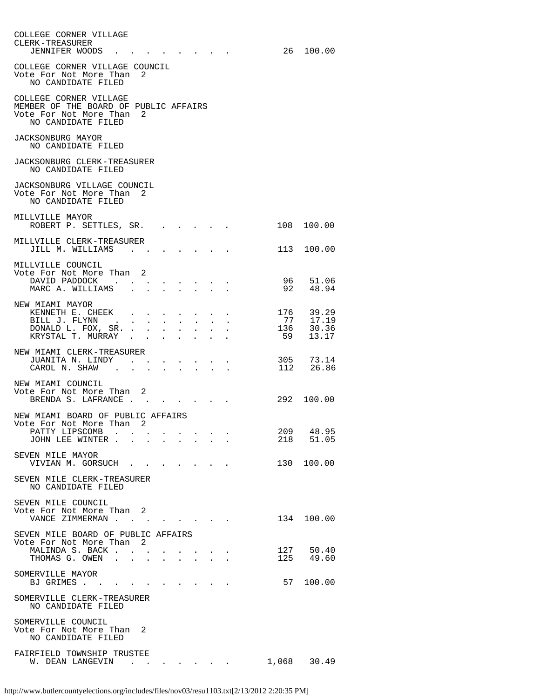| COLLEGE CORNER VILLAGE<br>CLERK-TREASURER<br>JENNIFER WOODS                                                       |                                                             |        |                                                                             |  |                                     |     | 26 100.00                 |
|-------------------------------------------------------------------------------------------------------------------|-------------------------------------------------------------|--------|-----------------------------------------------------------------------------|--|-------------------------------------|-----|---------------------------|
| COLLEGE CORNER VILLAGE COUNCIL<br>Vote For Not More Than<br>NO CANDIDATE FILED                                    | 2                                                           |        |                                                                             |  |                                     |     |                           |
| COLLEGE CORNER VILLAGE<br>MEMBER OF THE BOARD OF PUBLIC AFFAIRS<br>Vote For Not More Than 2<br>NO CANDIDATE FILED |                                                             |        |                                                                             |  |                                     |     |                           |
| JACKSONBURG MAYOR<br>NO CANDIDATE FILED                                                                           |                                                             |        |                                                                             |  |                                     |     |                           |
| JACKSONBURG CLERK-TREASURER<br>NO CANDIDATE FILED                                                                 |                                                             |        |                                                                             |  |                                     |     |                           |
| JACKSONBURG VILLAGE COUNCIL<br>Vote For Not More Than 2<br>NO CANDIDATE FILED                                     |                                                             |        |                                                                             |  |                                     |     |                           |
| MILLVILLE MAYOR<br>ROBERT P. SETTLES, SR.                                                                         |                                                             |        |                                                                             |  |                                     |     | 108 100.00                |
| MILLVILLE CLERK-TREASURER<br>JILL M. WILLIAMS                                                                     |                                                             |        |                                                                             |  |                                     | 113 | 100.00                    |
| MILLVILLE COUNCIL<br>Vote For Not More Than 2<br>DAVID PADDOCK.<br>MARC A. WILLIAMS .                             |                                                             |        |                                                                             |  |                                     |     | 96 51.06<br>92 48.94      |
| NEW MIAMI MAYOR                                                                                                   |                                                             |        |                                                                             |  |                                     |     |                           |
| KENNETH E. CHEEK<br>BILL J. FLYNN                                                                                 | and the contract of the state of                            |        |                                                                             |  |                                     | 77  | 176 39.29<br>17.19        |
| DONALD L. FOX, SR.<br>KRYSTAL T. MURRAY                                                                           |                                                             |        |                                                                             |  |                                     |     | $136$ $30.36$<br>59 13.17 |
| NEW MIAMI CLERK-TREASURER<br>JUANITA N. LINDY<br>CAROL N. SHAW.                                                   | $\bullet$ .<br><br><br><br><br><br><br><br><br><br><br><br> |        | $\mathcal{L}(\mathcal{A})$ . The contribution of $\mathcal{A}(\mathcal{A})$ |  |                                     |     | 305 73.14<br>112 26.86    |
| NEW MIAMI COUNCIL<br>Vote For Not More Than 2<br>BRENDA S. LAFRANCE                                               |                                                             |        |                                                                             |  |                                     |     | 292 100.00                |
| NEW MIAMI BOARD OF PUBLIC AFFAIRS<br>Vote For Not More Than 2                                                     |                                                             |        |                                                                             |  |                                     |     |                           |
| PATTY LIPSCOMB<br>JOHN LEE WINTER                                                                                 |                                                             |        |                                                                             |  |                                     |     | 209 48.95<br>218 51.05    |
| SEVEN MILE MAYOR<br>VIVIAN M. GORSUCH                                                                             |                                                             |        |                                                                             |  |                                     |     | 130 100.00                |
| SEVEN MILE CLERK-TREASURER<br>NO CANDIDATE FILED                                                                  |                                                             |        |                                                                             |  |                                     |     |                           |
| SEVEN MILE COUNCIL<br>Vote For Not More Than 2                                                                    |                                                             |        |                                                                             |  |                                     |     |                           |
| VANCE ZIMMERMAN<br>SEVEN MILE BOARD OF PUBLIC AFFAIRS                                                             |                                                             |        |                                                                             |  |                                     |     | 134 100.00                |
| Vote For Not More Than 2<br>MALINDA S. BACK                                                                       |                                                             |        |                                                                             |  |                                     |     |                           |
| THOMAS G. OWEN                                                                                                    |                                                             | $\sim$ |                                                                             |  |                                     |     | 127 50.40<br>125 49.60    |
| SOMERVILLE MAYOR<br>BJ GRIMES                                                                                     |                                                             |        |                                                                             |  |                                     |     | 57 100.00                 |
| SOMERVILLE CLERK-TREASURER<br>NO CANDIDATE FILED                                                                  |                                                             |        |                                                                             |  |                                     |     |                           |
| SOMERVILLE COUNCIL<br>Vote For Not More Than 2<br>NO CANDIDATE FILED                                              |                                                             |        |                                                                             |  |                                     |     |                           |
| FAIRFIELD TOWNSHIP TRUSTEE<br>W. DEAN LANGEVIN                                                                    |                                                             |        |                                                                             |  | and the contract of the contract of |     | 1,068 30.49               |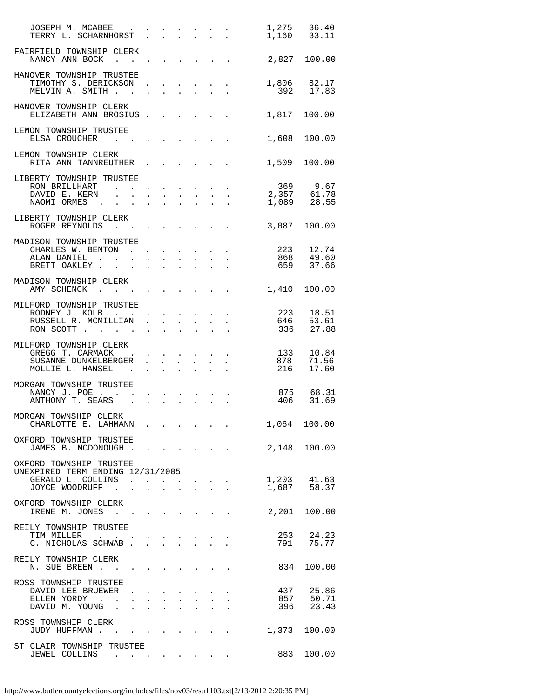| JOSEPH M. MCABEE<br>JOSEFH M. MCABEE<br>TERRY L. SCHARNHORST                                                                                                                                                                                                                              |                                                                                 |  |                                                                                                                                                                                                                                                                                                                                            |                                                                                                                                           | 1,275 36.40<br>1,160 33.11                                                                            |
|-------------------------------------------------------------------------------------------------------------------------------------------------------------------------------------------------------------------------------------------------------------------------------------------|---------------------------------------------------------------------------------|--|--------------------------------------------------------------------------------------------------------------------------------------------------------------------------------------------------------------------------------------------------------------------------------------------------------------------------------------------|-------------------------------------------------------------------------------------------------------------------------------------------|-------------------------------------------------------------------------------------------------------|
| FAIRFIELD TOWNSHIP CLERK<br>NANCY ANN BOCK                                                                                                                                                                                                                                                |                                                                                 |  |                                                                                                                                                                                                                                                                                                                                            | 2,827 100.00                                                                                                                              |                                                                                                       |
| HANOVER TOWNSHIP TRUSTEE<br>TIMOTHY S. DERICKSON<br>MELVIN A. SMITH                                                                                                                                                                                                                       | $\mathbf{L}^{\text{max}}$                                                       |  | $\begin{aligned} \frac{1}{2} \left( \begin{array}{ccc} 1 & 0 & 0 & 0 & 0 & 0 \\ 0 & 1 & 0 & 0 & 0 & 0 \\ 0 & 0 & 0 & 0 & 0 & 0 \\ 0 & 0 & 0 & 0 & 0 & 0 \\ 0 & 0 & 0 & 0 & 0 & 0 \\ 0 & 0 & 0 & 0 & 0 & 0 \\ 0 & 0 & 0 & 0 & 0 & 0 \\ 0 & 0 & 0 & 0 & 0 & 0 \\ 0 & 0 & 0 & 0 & 0 & 0 \\ 0 & 0 & 0 & 0 & 0 & 0 \\ 0 & 0 & 0 & 0 & 0 & 0 \\$ |                                                                                                                                           | 1,806 82.17<br>392 17.83                                                                              |
| HANOVER TOWNSHIP CLERK<br>ELIZABETH ANN BROSIUS                                                                                                                                                                                                                                           |                                                                                 |  |                                                                                                                                                                                                                                                                                                                                            |                                                                                                                                           | 1,817 100.00                                                                                          |
| LEMON TOWNSHIP TRUSTEE<br>ELSA CROUCHER<br>and the contract of the contract of the contract of the contract of the contract of the contract of the contract of the contract of the contract of the contract of the contract of the contract of the contract of the contra<br>$\mathbf{r}$ |                                                                                 |  |                                                                                                                                                                                                                                                                                                                                            |                                                                                                                                           | 1,608 100.00                                                                                          |
| LEMON TOWNSHIP CLERK<br>RITA ANN TANNREUTHER                                                                                                                                                                                                                                              |                                                                                 |  |                                                                                                                                                                                                                                                                                                                                            |                                                                                                                                           | 1,509 100.00                                                                                          |
| LIBERTY TOWNSHIP TRUSTEE                                                                                                                                                                                                                                                                  |                                                                                 |  |                                                                                                                                                                                                                                                                                                                                            |                                                                                                                                           |                                                                                                       |
|                                                                                                                                                                                                                                                                                           |                                                                                 |  |                                                                                                                                                                                                                                                                                                                                            | 369 9.67<br>2,357 61.78                                                                                                                   |                                                                                                       |
| RON BRILLHART<br>DAVID E. KERN<br>NAOMI ORMES                                                                                                                                                                                                                                             |                                                                                 |  |                                                                                                                                                                                                                                                                                                                                            |                                                                                                                                           | $1,089$ 28.55                                                                                         |
| LIBERTY TOWNSHIP CLERK<br>ROGER REYNOLDS<br>the contract of the contract of the contract of the contract of the contract of the contract of the contract of                                                                                                                               |                                                                                 |  |                                                                                                                                                                                                                                                                                                                                            |                                                                                                                                           | 3,087 100.00                                                                                          |
| MADISON TOWNSHIP TRUSTEE                                                                                                                                                                                                                                                                  |                                                                                 |  |                                                                                                                                                                                                                                                                                                                                            |                                                                                                                                           |                                                                                                       |
|                                                                                                                                                                                                                                                                                           |                                                                                 |  |                                                                                                                                                                                                                                                                                                                                            |                                                                                                                                           | 223     12.74<br>868     49.60                                                                        |
| CHARLES W. BENTON<br>ALAN DANIEL<br>BRETT OAKLEY                                                                                                                                                                                                                                          |                                                                                 |  |                                                                                                                                                                                                                                                                                                                                            |                                                                                                                                           |                                                                                                       |
|                                                                                                                                                                                                                                                                                           |                                                                                 |  |                                                                                                                                                                                                                                                                                                                                            |                                                                                                                                           | 659 37.66                                                                                             |
| MADISON TOWNSHIP CLERK<br>AMY SCHENCK                                                                                                                                                                                                                                                     | the contract of the contract of the contract of the contract of the contract of |  |                                                                                                                                                                                                                                                                                                                                            |                                                                                                                                           | 1,410 100.00                                                                                          |
| MILFORD TOWNSHIP TRUSTEE                                                                                                                                                                                                                                                                  |                                                                                 |  |                                                                                                                                                                                                                                                                                                                                            |                                                                                                                                           |                                                                                                       |
|                                                                                                                                                                                                                                                                                           |                                                                                 |  |                                                                                                                                                                                                                                                                                                                                            |                                                                                                                                           | 223       18.51<br>646       53.61                                                                    |
| RON SCOTT                                                                                                                                                                                                                                                                                 |                                                                                 |  |                                                                                                                                                                                                                                                                                                                                            | 336 27.88                                                                                                                                 |                                                                                                       |
| MILFORD TOWNSHIP CLERK<br>GREGG T. CARMACK                                                                                                                                                                                                                                                |                                                                                 |  |                                                                                                                                                                                                                                                                                                                                            | $\begin{array}{ccccccc}\n & . & . & . & . & . & . & 133 \\  & . & . & . & . & . & . & 878 \\  & . & . & . & . & . & . & 216\n\end{array}$ | 10.84                                                                                                 |
| SUSANNE DUNKELBERGER.<br>MOLLIE L. HANSEL                                                                                                                                                                                                                                                 |                                                                                 |  |                                                                                                                                                                                                                                                                                                                                            |                                                                                                                                           | 71.56<br>17.60                                                                                        |
|                                                                                                                                                                                                                                                                                           |                                                                                 |  |                                                                                                                                                                                                                                                                                                                                            |                                                                                                                                           |                                                                                                       |
| MORGAN TOWNSHIP TRUSTEE                                                                                                                                                                                                                                                                   |                                                                                 |  |                                                                                                                                                                                                                                                                                                                                            |                                                                                                                                           |                                                                                                       |
| NANCY J. POE.<br>ANTHONY T. SEARS<br>$\mathbf{L}$                                                                                                                                                                                                                                         |                                                                                 |  |                                                                                                                                                                                                                                                                                                                                            |                                                                                                                                           | 875     68.31<br>406     31.69                                                                        |
| MORGAN TOWNSHIP CLERK<br>CHARLOTTE E. LAHMANN                                                                                                                                                                                                                                             |                                                                                 |  |                                                                                                                                                                                                                                                                                                                                            |                                                                                                                                           | 1,064 100.00                                                                                          |
| OXFORD TOWNSHIP TRUSTEE<br>JAMES B. MCDONOUGH 2,148 100.00                                                                                                                                                                                                                                |                                                                                 |  |                                                                                                                                                                                                                                                                                                                                            |                                                                                                                                           |                                                                                                       |
| OXFORD TOWNSHIP TRUSTEE                                                                                                                                                                                                                                                                   |                                                                                 |  |                                                                                                                                                                                                                                                                                                                                            |                                                                                                                                           |                                                                                                       |
| UNEXPIRED TERM ENDING 12/31/2005<br>GERALD L. COLLINS                                                                                                                                                                                                                                     |                                                                                 |  |                                                                                                                                                                                                                                                                                                                                            |                                                                                                                                           |                                                                                                       |
|                                                                                                                                                                                                                                                                                           |                                                                                 |  |                                                                                                                                                                                                                                                                                                                                            |                                                                                                                                           |                                                                                                       |
|                                                                                                                                                                                                                                                                                           |                                                                                 |  |                                                                                                                                                                                                                                                                                                                                            |                                                                                                                                           |                                                                                                       |
| OXFORD TOWNSHIP CLERK<br>IRENE M. JONES                                                                                                                                                                                                                                                   |                                                                                 |  |                                                                                                                                                                                                                                                                                                                                            |                                                                                                                                           | $\begin{array}{ccc} 1\,, 203 & \quad 41\,.63 \\ 1\,, 687 & \quad 58\,.37 \end{array}$<br>2,201 100.00 |
|                                                                                                                                                                                                                                                                                           |                                                                                 |  |                                                                                                                                                                                                                                                                                                                                            |                                                                                                                                           |                                                                                                       |
| REILY TOWNSHIP TRUSTEE<br>TIM MILLER .                                                                                                                                                                                                                                                    |                                                                                 |  |                                                                                                                                                                                                                                                                                                                                            |                                                                                                                                           |                                                                                                       |
|                                                                                                                                                                                                                                                                                           |                                                                                 |  |                                                                                                                                                                                                                                                                                                                                            |                                                                                                                                           | 253       24.23<br>791        75.77                                                                   |
| REILY TOWNSHIP CLERK<br>N. SUE BREEN.                                                                                                                                                                                                                                                     |                                                                                 |  |                                                                                                                                                                                                                                                                                                                                            |                                                                                                                                           | 834 100.00                                                                                            |
| ROSS TOWNSHIP TRUSTEE                                                                                                                                                                                                                                                                     |                                                                                 |  |                                                                                                                                                                                                                                                                                                                                            |                                                                                                                                           |                                                                                                       |
| DAVID LEE BRUEWER                                                                                                                                                                                                                                                                         |                                                                                 |  |                                                                                                                                                                                                                                                                                                                                            |                                                                                                                                           | 437 25.86                                                                                             |
|                                                                                                                                                                                                                                                                                           |                                                                                 |  |                                                                                                                                                                                                                                                                                                                                            |                                                                                                                                           |                                                                                                       |
| DAVID DE BRUEWER<br>ELLEN YORDY<br>DAVID M. YOUNG<br>                                                                                                                                                                                                                                     |                                                                                 |  |                                                                                                                                                                                                                                                                                                                                            |                                                                                                                                           | 857 50.71<br>396 23.43                                                                                |
| ROSS TOWNSHIP CLERK<br>JUDY HUFFMAN                                                                                                                                                                                                                                                       |                                                                                 |  |                                                                                                                                                                                                                                                                                                                                            |                                                                                                                                           | 1,373 100.00                                                                                          |
| ST CLAIR TOWNSHIP TRUSTEE<br>JEWEL COLLINS 883 100.00                                                                                                                                                                                                                                     |                                                                                 |  |                                                                                                                                                                                                                                                                                                                                            |                                                                                                                                           |                                                                                                       |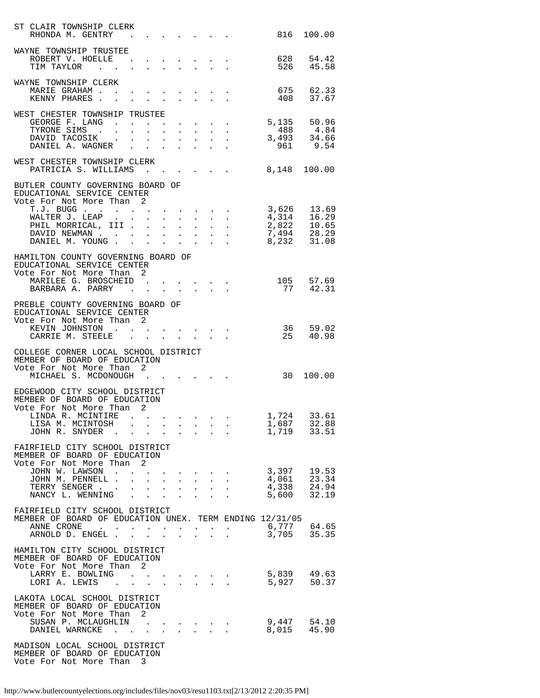| ST CLAIR TOWNSHIP CLERK<br>RHONDA M. GENTRY                                                              |                      |                                          |              |                                                                                                                  |                                        |                           |                                                                                                                                                                                                                                                                                                                                                                                                                                                                 |                                   | 816 100.00 |
|----------------------------------------------------------------------------------------------------------|----------------------|------------------------------------------|--------------|------------------------------------------------------------------------------------------------------------------|----------------------------------------|---------------------------|-----------------------------------------------------------------------------------------------------------------------------------------------------------------------------------------------------------------------------------------------------------------------------------------------------------------------------------------------------------------------------------------------------------------------------------------------------------------|-----------------------------------|------------|
| WAYNE TOWNSHIP TRUSTEE                                                                                   |                      |                                          |              |                                                                                                                  |                                        |                           |                                                                                                                                                                                                                                                                                                                                                                                                                                                                 |                                   |            |
| ROBERT V. HOELLE 628 54.42<br>TIM TAYLOR 526 45.58                                                       |                      |                                          |              |                                                                                                                  |                                        |                           |                                                                                                                                                                                                                                                                                                                                                                                                                                                                 |                                   |            |
| WAYNE TOWNSHIP CLERK                                                                                     |                      |                                          |              |                                                                                                                  |                                        |                           |                                                                                                                                                                                                                                                                                                                                                                                                                                                                 |                                   |            |
| MARIE GRAHAM 675 62.33<br>KENNY PHARES                                                                   |                      |                                          |              |                                                                                                                  |                                        |                           |                                                                                                                                                                                                                                                                                                                                                                                                                                                                 | 408                               | 37.67      |
| WEST CHESTER TOWNSHIP TRUSTEE                                                                            |                      |                                          |              |                                                                                                                  |                                        |                           |                                                                                                                                                                                                                                                                                                                                                                                                                                                                 |                                   |            |
|                                                                                                          |                      |                                          |              |                                                                                                                  |                                        |                           |                                                                                                                                                                                                                                                                                                                                                                                                                                                                 |                                   |            |
|                                                                                                          |                      |                                          |              |                                                                                                                  |                                        |                           |                                                                                                                                                                                                                                                                                                                                                                                                                                                                 |                                   |            |
| GEORGE F. LANG 488 4.84<br>DAVID TACOSIK 493 34.66<br>DANIEL A. WAGNER 961 9.54                          |                      |                                          |              |                                                                                                                  |                                        |                           |                                                                                                                                                                                                                                                                                                                                                                                                                                                                 |                                   |            |
| WEST CHESTER TOWNSHIP CLERK<br>PATRICIA S. WILLIAMS                                                      |                      |                                          |              |                                                                                                                  |                                        |                           |                                                                                                                                                                                                                                                                                                                                                                                                                                                                 | 8,148 100.00                      |            |
| BUTLER COUNTY GOVERNING BOARD OF<br>EDUCATIONAL SERVICE CENTER                                           |                      |                                          |              |                                                                                                                  |                                        |                           |                                                                                                                                                                                                                                                                                                                                                                                                                                                                 |                                   |            |
| Vote For Not More Than 2                                                                                 |                      |                                          |              |                                                                                                                  |                                        |                           |                                                                                                                                                                                                                                                                                                                                                                                                                                                                 |                                   |            |
|                                                                                                          |                      |                                          |              |                                                                                                                  |                                        |                           |                                                                                                                                                                                                                                                                                                                                                                                                                                                                 |                                   |            |
|                                                                                                          |                      |                                          |              |                                                                                                                  |                                        |                           |                                                                                                                                                                                                                                                                                                                                                                                                                                                                 |                                   |            |
|                                                                                                          |                      |                                          |              |                                                                                                                  |                                        |                           |                                                                                                                                                                                                                                                                                                                                                                                                                                                                 |                                   |            |
| HAMILTON COUNTY GOVERNING BOARD OF<br>EDUCATIONAL SERVICE CENTER<br>Vote For Not More Than               | 2                    |                                          |              |                                                                                                                  |                                        |                           |                                                                                                                                                                                                                                                                                                                                                                                                                                                                 |                                   |            |
| MARILEE G. BROSCHEID 105 57.69                                                                           |                      |                                          |              |                                                                                                                  |                                        |                           |                                                                                                                                                                                                                                                                                                                                                                                                                                                                 | 77 42.31                          |            |
| BARBARA A. PARRY<br>PREBLE COUNTY GOVERNING BOARD OF<br>EDUCATIONAL SERVICE CENTER                       |                      |                                          |              |                                                                                                                  |                                        |                           |                                                                                                                                                                                                                                                                                                                                                                                                                                                                 |                                   |            |
| Vote For Not More Than 2<br>KEVIN JOHNSTON                                                               |                      |                                          |              |                                                                                                                  |                                        |                           | $\mathbf{u}^{\prime}$ , $\mathbf{u}^{\prime}$ , $\mathbf{u}^{\prime}$ , $\mathbf{u}^{\prime}$ , $\mathbf{u}^{\prime}$ , $\mathbf{u}^{\prime}$ , $\mathbf{u}^{\prime}$ , $\mathbf{u}^{\prime}$                                                                                                                                                                                                                                                                   | 36 59.02                          |            |
| CARRIE M. STEELE                                                                                         |                      |                                          |              |                                                                                                                  |                                        |                           |                                                                                                                                                                                                                                                                                                                                                                                                                                                                 | 25                                | 40.98      |
| COLLEGE CORNER LOCAL SCHOOL DISTRICT<br>MEMBER OF BOARD OF EDUCATION<br>Vote For Not More Than           | 2                    |                                          |              |                                                                                                                  |                                        |                           |                                                                                                                                                                                                                                                                                                                                                                                                                                                                 |                                   |            |
| MICHAEL S. MCDONOUGH                                                                                     |                      |                                          |              |                                                                                                                  |                                        |                           |                                                                                                                                                                                                                                                                                                                                                                                                                                                                 |                                   | 30 100.00  |
| EDGEWOOD CITY SCHOOL DISTRICT<br>MEMBER OF BOARD OF EDUCATION<br>Vote For Not More Than 2                |                      |                                          |              |                                                                                                                  |                                        |                           |                                                                                                                                                                                                                                                                                                                                                                                                                                                                 |                                   |            |
| LINDA R. MCINTIRE<br>LISA M. MCINTOSH                                                                    |                      |                                          |              |                                                                                                                  |                                        |                           | . The state of the state of the state of the state of the state of the state of the $\alpha$                                                                                                                                                                                                                                                                                                                                                                    | 1,724<br>$1,687$ $32.88$          | 33.61      |
| JOHN R. SNYDER<br>$\sim$ $\sim$                                                                          | $\sim$               | $\mathbf{L}$                             | $\mathbf{L}$ | $\sim 10^{-10}$                                                                                                  | $\mathbf{r} = \mathbf{r} + \mathbf{r}$ |                           |                                                                                                                                                                                                                                                                                                                                                                                                                                                                 | 1,719                             | 33.51      |
| FAIRFIELD CITY SCHOOL DISTRICT<br>MEMBER OF BOARD OF EDUCATION<br>Vote For Not More Than                 | 2                    |                                          |              |                                                                                                                  |                                        |                           |                                                                                                                                                                                                                                                                                                                                                                                                                                                                 |                                   |            |
| JOHN W. LAWSON                                                                                           |                      |                                          |              |                                                                                                                  |                                        |                           |                                                                                                                                                                                                                                                                                                                                                                                                                                                                 | 3,397                             | 19.53      |
| JOHN M. PENNELL .<br>TERRY SENGER                                                                        |                      |                                          |              |                                                                                                                  |                                        |                           |                                                                                                                                                                                                                                                                                                                                                                                                                                                                 | 4,061 23.34<br>4,338 24.94        |            |
| NANCY L. WENNING                                                                                         | $\mathbf{r}$         | $\mathbf{r} = \mathbf{r} + \mathbf{r}$ . |              | $\mathbf{L}^{\text{max}}$                                                                                        | $\mathbf{L}$                           |                           | <b>Service</b> State                                                                                                                                                                                                                                                                                                                                                                                                                                            | 5,600                             | 32.19      |
| FAIRFIELD CITY SCHOOL DISTRICT<br>MEMBER OF BOARD OF EDUCATION UNEX. TERM ENDING 12/31/05                |                      |                                          |              |                                                                                                                  |                                        |                           |                                                                                                                                                                                                                                                                                                                                                                                                                                                                 |                                   |            |
| ANNE CRONE<br>$\mathcal{L}^{\text{max}}$ , and $\mathcal{L}^{\text{max}}$<br>$\,$ .<br>ARNOLD D. ENGEL . | $\ddot{\phantom{1}}$ |                                          | $\sim$       | $\mathcal{L}(\mathcal{A})$ . The contribution of the $\mathcal{A}(\mathcal{A})$<br>$\mathbf{L}$ and $\mathbf{L}$ |                                        | $\mathbf{L} = \mathbf{L}$ |                                                                                                                                                                                                                                                                                                                                                                                                                                                                 | 6,777  64.65<br>3,705  35.35      |            |
| HAMILTON CITY SCHOOL DISTRICT<br>MEMBER OF BOARD OF EDUCATION<br>Vote For Not More Than 2                |                      |                                          |              |                                                                                                                  |                                        |                           |                                                                                                                                                                                                                                                                                                                                                                                                                                                                 |                                   |            |
| LARRY E. BOWLING<br>LORI A. LEWIS<br><b>Contract Contract</b>                                            |                      |                                          |              |                                                                                                                  |                                        |                           | $\label{eq:2.1} \begin{split} \mathcal{L}_{\mathcal{A}}(\mathbf{x}) & = \mathcal{L}_{\mathcal{A}}(\mathbf{x}) + \mathcal{L}_{\mathcal{A}}(\mathbf{x}) + \mathcal{L}_{\mathcal{A}}(\mathbf{x}) + \mathcal{L}_{\mathcal{A}}(\mathbf{x}) \\ & = \mathcal{L}_{\mathcal{A}}(\mathbf{x}) + \mathcal{L}_{\mathcal{A}}(\mathbf{x}) + \mathcal{L}_{\mathcal{A}}(\mathbf{x}) + \mathcal{L}_{\mathcal{A}}(\mathbf{x}) + \mathcal{L}_{\mathcal{A}}(\mathbf{x}) \end{split}$ | 5,839  49.63<br>5,927  50.37      |            |
| LAKOTA LOCAL SCHOOL DISTRICT<br>MEMBER OF BOARD OF EDUCATION<br>Vote For Not More Than                   | 2                    |                                          |              |                                                                                                                  |                                        |                           |                                                                                                                                                                                                                                                                                                                                                                                                                                                                 |                                   |            |
| SUSAN P. MCLAUGHLIN<br>DANIEL WARNCKE                                                                    |                      |                                          |              |                                                                                                                  |                                        |                           |                                                                                                                                                                                                                                                                                                                                                                                                                                                                 |                                   |            |
|                                                                                                          |                      |                                          |              |                                                                                                                  |                                        |                           |                                                                                                                                                                                                                                                                                                                                                                                                                                                                 | 9,447     54.10<br>8,015    45.90 |            |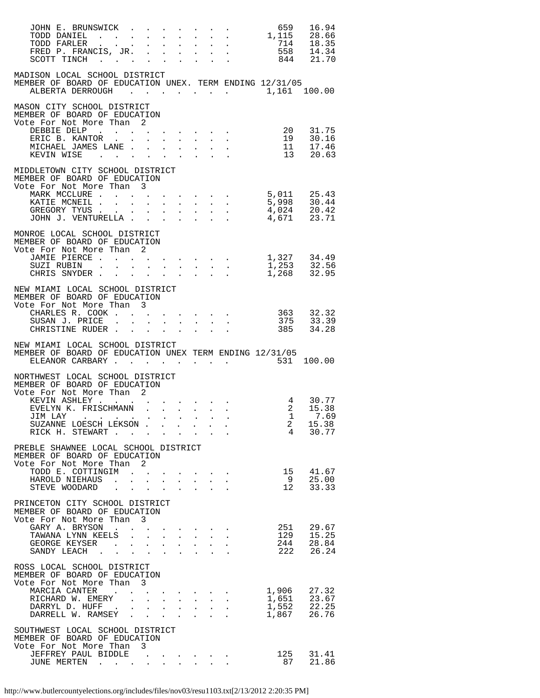| JOHN E. BRUNSWICK                                                                                                   |  |  |                           |                                                                                                 | 659                 | 16.94                                              |
|---------------------------------------------------------------------------------------------------------------------|--|--|---------------------------|-------------------------------------------------------------------------------------------------|---------------------|----------------------------------------------------|
|                                                                                                                     |  |  |                           |                                                                                                 |                     |                                                    |
| MADISON LOCAL SCHOOL DISTRICT<br>MEMBER OF BOARD OF EDUCATION UNEX. TERM ENDING 12/31/05<br>ALBERTA DERROUGH        |  |  |                           |                                                                                                 |                     | 1,161 100.00                                       |
| MASON CITY SCHOOL DISTRICT<br>MEMBER OF BOARD OF EDUCATION<br>Vote For Not More Than 2                              |  |  |                           |                                                                                                 |                     |                                                    |
| DEBBIE DELP 20 31.75<br>ERIC B. KANTOR 19 30.16<br>MICHAEL JAMES LANE 11 17.46<br>KEVIN WISE 13 20.63               |  |  |                           |                                                                                                 |                     |                                                    |
| MIDDLETOWN CITY SCHOOL DISTRICT<br>MEMBER OF BOARD OF EDUCATION<br>Vote For Not More Than 3                         |  |  |                           |                                                                                                 |                     |                                                    |
| MARK MCCLURE 5,011 25.43<br>KATIE MCNEIL 5,998 30.44<br>GREGORY TYUS 4,024 20.42<br>JOHN J. VENTURELLA 4,671 23.71  |  |  |                           |                                                                                                 |                     |                                                    |
| MONROE LOCAL SCHOOL DISTRICT                                                                                        |  |  |                           |                                                                                                 |                     |                                                    |
| MEMBER OF BOARD OF EDUCATION<br>Vote For Not More Than 2                                                            |  |  |                           |                                                                                                 |                     |                                                    |
| JAMIE PIERCE 1,327 34.49<br>SUZI RUBIN 1,253 32.56<br>CHRIS SNYDER 1,268 32.95                                      |  |  |                           |                                                                                                 |                     |                                                    |
| NEW MIAMI LOCAL SCHOOL DISTRICT<br>MEMBER OF BOARD OF EDUCATION<br>Vote For Not More Than 3                         |  |  |                           |                                                                                                 |                     |                                                    |
| e For Not More Than 3<br>CHARLES R. COOK 363 32.32<br>SUSAN J. PRICE 375 33.39<br>CHRISTINE RUDER                   |  |  |                           |                                                                                                 | $\cdot$ 385 34.28   |                                                    |
| NEW MIAMI LOCAL SCHOOL DISTRICT<br>MEMBER OF BOARD OF EDUCATION UNEX TERM ENDING 12/31/05                           |  |  |                           |                                                                                                 |                     |                                                    |
| ELEANOR CARBARY 531 100.00                                                                                          |  |  |                           |                                                                                                 |                     |                                                    |
| NORTHWEST LOCAL SCHOOL DISTRICT<br>MEMBER OF BOARD OF EDUCATION<br>Vote For Not More Than 2                         |  |  |                           |                                                                                                 |                     |                                                    |
| JIM LAY                                                                                                             |  |  |                           |                                                                                                 | 1 7.69              |                                                    |
| SUZANNE LOESCH LEKSON<br>RICK H. STEWART                                                                            |  |  | $\mathbf{L} = \mathbf{L}$ |                                                                                                 | $\overline{a}$<br>4 | 15.38<br>30.77                                     |
| PREBLE SHAWNEE LOCAL SCHOOL DISTRICT<br>MEMBER OF BOARD OF EDUCATION<br>Vote For Not More Than 2                    |  |  |                           |                                                                                                 |                     |                                                    |
| TODD E. COTTINGIM<br>HAROLD NIEHAUS<br>STEVE WOODARD                                                                |  |  |                           |                                                                                                 | 15<br>9<br>12       | 41.67<br>25.00<br>33.33                            |
| PRINCETON CITY SCHOOL DISTRICT<br>MEMBER OF BOARD OF EDUCATION                                                      |  |  |                           |                                                                                                 |                     |                                                    |
| Vote For Not More Than 3<br>GARY A. BRYSON                                                                          |  |  |                           |                                                                                                 | 251                 | 29.67                                              |
| SANDY LEACH<br>ROSS LOCAL SCHOOL DISTRICT                                                                           |  |  |                           |                                                                                                 |                     | 129 15.25<br>244 28.84<br>222 26.24                |
| MEMBER OF BOARD OF EDUCATION<br>Vote For Not More Than 3<br>MARCIA CANTER                                           |  |  |                           | $\mathbf{z} = \mathbf{z} + \mathbf{z}$ , where $\mathbf{z} = \mathbf{z} + \mathbf{z}$ , we have |                     |                                                    |
| RICHARD W. EMERY<br>DARRYL D. HUFF<br>DARRELL W. RAMSEY                                                             |  |  |                           | $\frac{1}{2} \left( \begin{array}{ccc} 1 & 1 & 1 & 1 \\ 1 & 1 & 1 & 1 \end{array} \right)$      | 1,867               | 1,906 27.32<br>1,651 23.67<br>1,552 22.25<br>26.76 |
| SOUTHWEST LOCAL SCHOOL DISTRICT<br>MEMBER OF BOARD OF EDUCATION<br>Vote For Not More Than 3<br>JEFFREY PAUL BIDDLE. |  |  |                           |                                                                                                 |                     | 31.41                                              |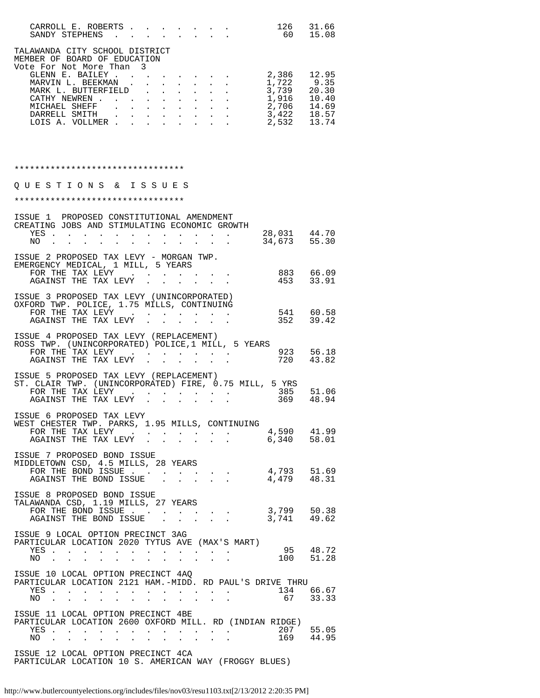| CARROLL E. ROBERTS                                                                         |                                                                                                                                               |                      |                 |                                                                                            |        |  | 126        | 31.66 |
|--------------------------------------------------------------------------------------------|-----------------------------------------------------------------------------------------------------------------------------------------------|----------------------|-----------------|--------------------------------------------------------------------------------------------|--------|--|------------|-------|
| SANDY STEPHENS                                                                             |                                                                                                                                               |                      |                 |                                                                                            |        |  | 60 —       | 15.08 |
| TALAWANDA CITY SCHOOL DISTRICT<br>MEMBER OF BOARD OF EDUCATION<br>Vote For Not More Than 3 |                                                                                                                                               |                      |                 |                                                                                            |        |  |            |       |
| GLENN E. BAILEY.                                                                           |                                                                                                                                               | $\sim$               |                 |                                                                                            |        |  | 2,386      | 12.95 |
| MARVIN L. BEEKMAN                                                                          |                                                                                                                                               |                      |                 | $\mathbf{r} = \mathbf{r} + \mathbf{r} + \mathbf{r} + \mathbf{r} + \mathbf{r} + \mathbf{r}$ |        |  | 1,722 9.35 |       |
| MARK L. BUTTERFIELD                                                                        |                                                                                                                                               | $\ddot{\phantom{a}}$ | $\cdot$ $\cdot$ |                                                                                            |        |  | 3,739      | 20.30 |
| CATHY NEWREN                                                                               | $\ddot{\phantom{a}}$                                                                                                                          |                      |                 |                                                                                            | $\sim$ |  | 1,916      | 10.40 |
| MICHAEL<br>SHEFF                                                                           | $\begin{array}{cccccccccccccc} \bullet & \bullet & \bullet & \bullet & \bullet & \bullet & \bullet & \bullet & \bullet & \bullet \end{array}$ |                      |                 |                                                                                            |        |  | 2,706      | 14.69 |
| DARRELL SMITH                                                                              | and a strong control of the strong strong                                                                                                     |                      |                 |                                                                                            |        |  | 3,422      | 18.57 |
| LOIS A. VOLLMER                                                                            |                                                                                                                                               |                      |                 |                                                                                            |        |  | 2,532      | 13.74 |
| *********************************                                                          |                                                                                                                                               |                      |                 |                                                                                            |        |  |            |       |
|                                                                                            |                                                                                                                                               |                      |                 |                                                                                            |        |  |            |       |
| &.<br>U E<br>N S<br>STIO<br>O                                                              | I S S U E S                                                                                                                                   |                      |                 |                                                                                            |        |  |            |       |

| *********************************                                                                                                                                                                                                                                                                          |                              |
|------------------------------------------------------------------------------------------------------------------------------------------------------------------------------------------------------------------------------------------------------------------------------------------------------------|------------------------------|
| ISSUE 1 PROPOSED CONSTITUTIONAL AMENDMENT<br>CREATING JOBS AND STIMULATING ECONOMIC GROWTH<br>YES<br>NO.<br>the contract of the contract of the contract of the contract of the contract of the contract of the contract of<br>$\sim$ 100 $\sim$ 100 $\sim$                                                | 28,031 44.70<br>34,673 55.30 |
| ISSUE 2 PROPOSED TAX LEVY - MORGAN TWP.<br>EMERGENCY MEDICAL, 1 MILL, 5 YEARS<br>FOR THE TAX LEVY 883 66.09<br>AGAINST THE TAX LEVY                                                                                                                                                                        | 453 33.91                    |
| ISSUE 3 PROPOSED TAX LEVY (UNINCORPORATED)<br>OXFORD TWP. POLICE, 1.75 MILLS, CONTINUING<br>FOR THE TAX LEVY $\cdots$ $\cdots$ $\cdots$                                                                                                                                                                    | 541 60.58<br>352 39.42       |
| ISSUE 4 PROPOSED TAX LEVY (REPLACEMENT)<br>ROSS TWP. (UNINCORPORATED) POLICE, 1 MILL, 5 YEARS<br>FOR THE TAX LEVY<br>AGAINST THE TAX LEVY                                                                                                                                                                  | 923 56.18                    |
| ISSUE 5 PROPOSED TAX LEVY (REPLACEMENT)<br>ST. CLAIR TWP. (UNINCORPORATED) FIRE, 0.75 MILL, 5 YRS                                                                                                                                                                                                          |                              |
| ISSUE 6 PROPOSED TAX LEVY<br>WEST CHESTER TWP. PARKS, 1.95 MILLS, CONTINUING                                                                                                                                                                                                                               | 4,590 41.99                  |
| ISSUE 7 PROPOSED BOND ISSUE<br>MIDDLETOWN CSD, 4.5 MILLS, 28 YEARS<br>FOR THE BOND ISSUE<br>AGAINST THE BOND ISSUE                                                                                                                                                                                         | 4,793 51.69<br>4,479 48.31   |
| ISSUE 8 PROPOSED BOND ISSUE<br>TALAWANDA CSD, 1.19 MILLS, 27 YEARS<br>FOR THE BOND ISSUE 3,799 50.38<br>AGAINST THE BOND ISSUE 3,741 49.62                                                                                                                                                                 |                              |
| ISSUE 9 LOCAL OPTION PRECINCT 3AG<br>PARTICULAR LOCATION 2020 TYTUS AVE (MAX'S MART)<br>$\begin{array}{cccc} 95 & 48.72 \\ 100 & 51.28 \end{array}$                                                                                                                                                        |                              |
| ISSUE 10 LOCAL OPTION PRECINCT 4AQ<br>PARTICULAR LOCATION 2121 HAM.-MIDD. RD PAUL'S DRIVE THRU<br>$\cdot$ 134 66.67<br>YES<br>67<br>NO.<br>المتناوب والمستنقل والمستنقل والمستنقل والمستنقل والمستنقل                                                                                                      | 33.33                        |
| ISSUE 11 LOCAL OPTION PRECINCT 4BE<br>PARTICULAR LOCATION 2600 OXFORD MILL. RD (INDIAN RIDGE)<br>207<br>YES .<br>$\mathbf{u} = \mathbf{u} \cdot \mathbf{u}$<br>$\ddot{\phantom{0}}$<br>$\ddot{\phantom{1}}$ .<br>$\sim$ $\sim$<br>$\ddot{\phantom{1}}$<br>$\sim$ $-$<br>169<br>NO.<br>$\ddot{\phantom{a}}$ | 55.05<br>44.95               |
| ISSUE 12 LOCAL OPTION PRECINCT 4CA                                                                                                                                                                                                                                                                         |                              |

PARTICULAR LOCATION 10 S. AMERICAN WAY (FROGGY BLUES)